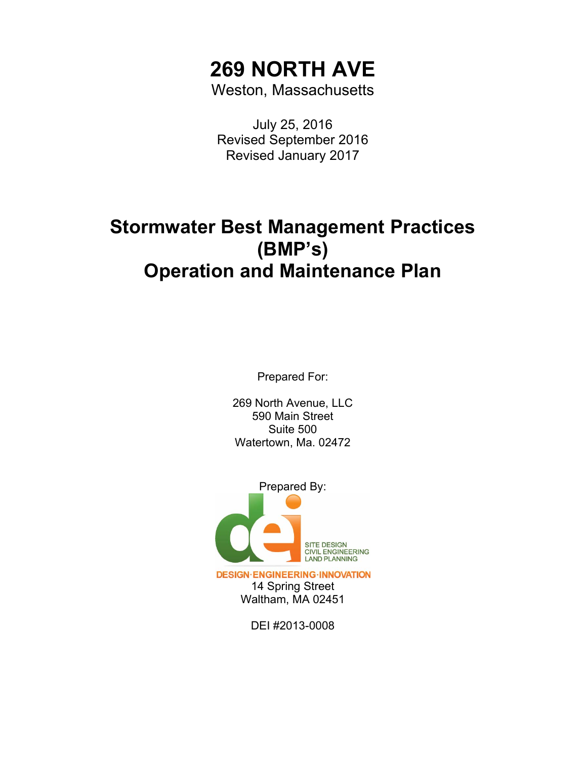# **269 NORTH AVE**

Weston, Massachusetts

July 25, 2016 Revised September 2016 Revised January 2017

## **Stormwater Best Management Practices (BMP's) Operation and Maintenance Plan**

Prepared For:

269 North Avenue, LLC 590 Main Street Suite 500 Watertown, Ma. 02472



**DESIGN·ENGINEERING·INNOVATION** 14 Spring Street Waltham, MA 02451

DEI #2013-0008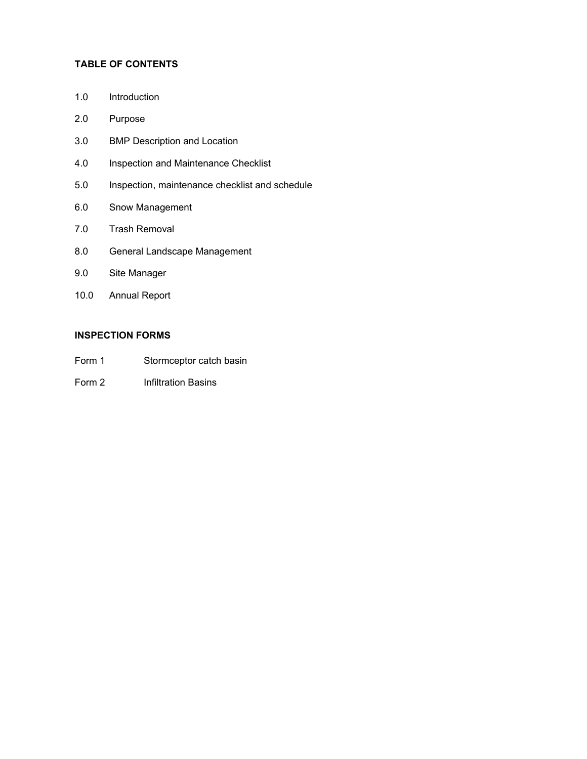## **TABLE OF CONTENTS**

- 1.0 Introduction
- 2.0 Purpose
- 3.0 BMP Description and Location
- 4.0 Inspection and Maintenance Checklist
- 5.0 Inspection, maintenance checklist and schedule
- 6.0 Snow Management
- 7.0 Trash Removal
- 8.0 General Landscape Management
- 9.0 Site Manager
- 10.0 Annual Report

## **INSPECTION FORMS**

- Form 1 Stormceptor catch basin
- Form 2 Infiltration Basins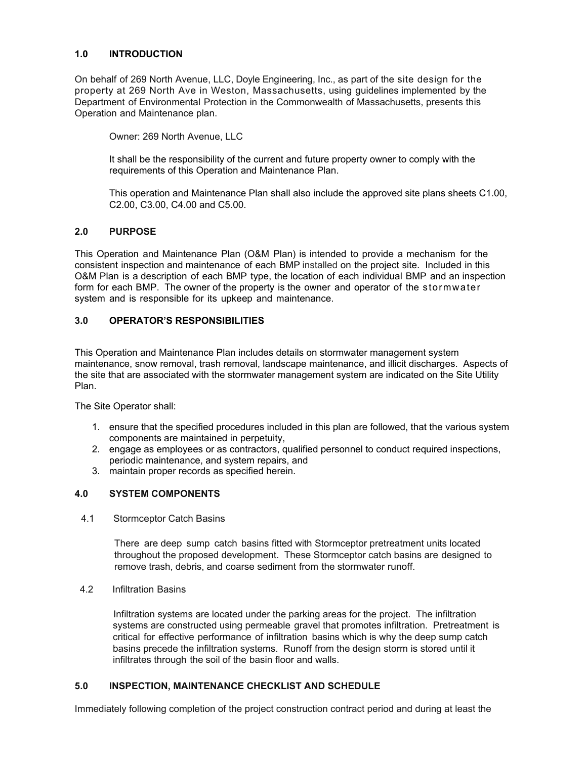#### **1.0 INTRODUCTION**

On behalf of 269 North Avenue, LLC, Doyle Engineering, Inc., as part of the site design for the property at 269 North Ave in Weston, Massachusetts, using guidelines implemented by the Department of Environmental Protection in the Commonwealth of Massachusetts, presents this Operation and Maintenance plan.

Owner: 269 North Avenue, LLC

It shall be the responsibility of the current and future property owner to comply with the requirements of this Operation and Maintenance Plan.

This operation and Maintenance Plan shall also include the approved site plans sheets C1.00, C2.00, C3.00, C4.00 and C5.00.

#### **2.0 PURPOSE**

This Operation and Maintenance Plan (O&M Plan) is intended to provide a mechanism for the consistent inspection and maintenance of each BMP installed on the project site. Included in this O&M Plan is a description of each BMP type, the location of each individual BMP and an inspection form for each BMP. The owner of the property is the owner and operator of the stormwater system and is responsible for its upkeep and maintenance.

#### **3.0 OPERATOR'S RESPONSIBILITIES**

This Operation and Maintenance Plan includes details on stormwater management system maintenance, snow removal, trash removal, landscape maintenance, and illicit discharges. Aspects of the site that are associated with the stormwater management system are indicated on the Site Utility Plan.

The Site Operator shall:

- 1. ensure that the specified procedures included in this plan are followed, that the various system components are maintained in perpetuity,
- 2. engage as employees or as contractors, qualified personnel to conduct required inspections, periodic maintenance, and system repairs, and
- 3. maintain proper records as specified herein.

#### **4.0 SYSTEM COMPONENTS**

4.1 Stormceptor Catch Basins

There are deep sump catch basins fitted with Stormceptor pretreatment units located throughout the proposed development. These Stormceptor catch basins are designed to remove trash, debris, and coarse sediment from the stormwater runoff.

4.2 Infiltration Basins

Infiltration systems are located under the parking areas for the project. The infiltration systems are constructed using permeable gravel that promotes infiltration. Pretreatment is critical for effective performance of infiltration basins which is why the deep sump catch basins precede the infiltration systems. Runoff from the design storm is stored until it infiltrates through the soil of the basin floor and walls.

#### **5.0 INSPECTION, MAINTENANCE CHECKLIST AND SCHEDULE**

Immediately following completion of the project construction contract period and during at least the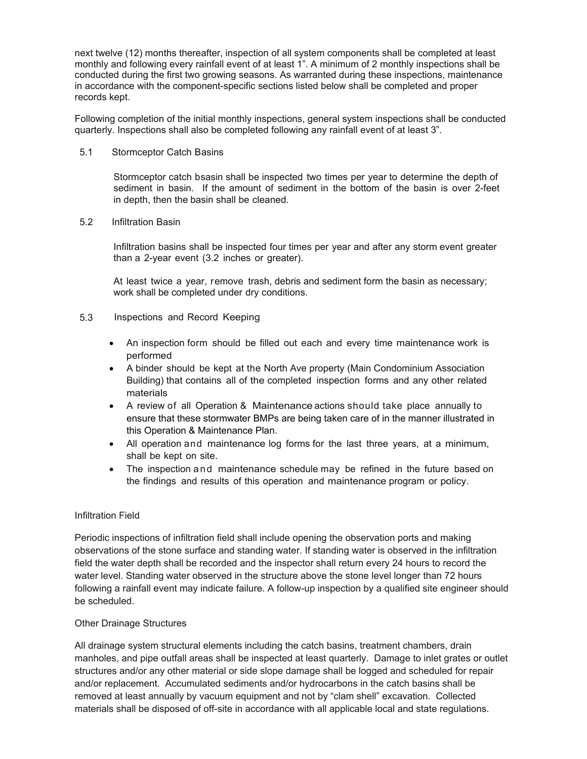next twelve (12) months thereafter, inspection of all system components shall be completed at least monthly and following every rainfall event of at least 1". A minimum of 2 monthly inspections shall be conducted during the first two growing seasons. As warranted during these inspections, maintenance in accordance with the component-specific sections listed below shall be completed and proper records kept.

Following completion of the initial monthly inspections, general system inspections shall be conducted quarterly. Inspections shall also be completed following any rainfall event of at least 3".

#### 5.1 Stormceptor Catch Basins

Stormceptor catch bsasin shall be inspected two times per year to determine the depth of sediment in basin. If the amount of sediment in the bottom of the basin is over 2-feet in depth, then the basin shall be cleaned.

#### 5.2 Infiltration Basin

Infiltration basins shall be inspected four times per year and after any storm event greater than a 2-year event (3.2 inches or greater).

At least twice a year, remove trash, debris and sediment form the basin as necessary; work shall be completed under dry conditions.

#### 5.3 Inspections and Record Keeping

- An inspection form should be filled out each and every time maintenance work is performed
- A binder should be kept at the North Ave property (Main Condominium Association Building) that contains all of the completed inspection forms and any other related materials
- A review of all Operation & Maintenance actions should take place annually to ensure that these stormwater BMPs are being taken care of in the manner illustrated in this Operation & Maintenance Plan.
- All operation and maintenance log forms for the last three years, at a minimum, shall be kept on site.
- The inspection and maintenance schedule may be refined in the future based on the findings and results of this operation and maintenance program or policy.

#### Infiltration Field

Periodic inspections of infiltration field shall include opening the observation ports and making observations of the stone surface and standing water. If standing water is observed in the infiltration field the water depth shall be recorded and the inspector shall return every 24 hours to record the water level. Standing water observed in the structure above the stone level longer than 72 hours following a rainfall event may indicate failure. A follow-up inspection by a qualified site engineer should be scheduled.

#### Other Drainage Structures

All drainage system structural elements including the catch basins, treatment chambers, drain manholes, and pipe outfall areas shall be inspected at least quarterly. Damage to inlet grates or outlet structures and/or any other material or side slope damage shall be logged and scheduled for repair and/or replacement. Accumulated sediments and/or hydrocarbons in the catch basins shall be removed at least annually by vacuum equipment and not by "clam shell" excavation. Collected materials shall be disposed of off-site in accordance with all applicable local and state regulations.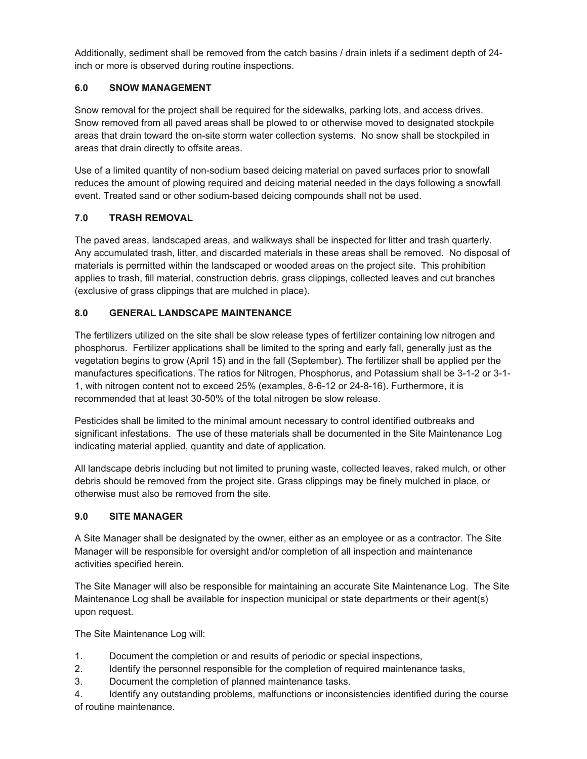Additionally, sediment shall be removed from the catch basins / drain inlets if a sediment depth of 24 inch or more is observed during routine inspections.

## **6.0 SNOW MANAGEMENT**

Snow removal for the project shall be required for the sidewalks, parking lots, and access drives. Snow removed from all paved areas shall be plowed to or otherwise moved to designated stockpile areas that drain toward the on-site storm water collection systems. No snow shall be stockpiled in areas that drain directly to offsite areas.

Use of a limited quantity of non-sodium based deicing material on paved surfaces prior to snowfall reduces the amount of plowing required and deicing material needed in the days following a snowfall event. Treated sand or other sodium-based deicing compounds shall not be used.

## **7.0 TRASH REMOVAL**

The paved areas, landscaped areas, and walkways shall be inspected for litter and trash quarterly. Any accumulated trash, litter, and discarded materials in these areas shall be removed. No disposal of materials is permitted within the landscaped or wooded areas on the project site. This prohibition applies to trash, fill material, construction debris, grass clippings, collected leaves and cut branches (exclusive of grass clippings that are mulched in place).

## **8.0 GENERAL LANDSCAPE MAINTENANCE**

The fertilizers utilized on the site shall be slow release types of fertilizer containing low nitrogen and phosphorus. Fertilizer applications shall be limited to the spring and early fall, generally just as the vegetation begins to grow (April 15) and in the fall (September). The fertilizer shall be applied per the manufactures specifications. The ratios for Nitrogen, Phosphorus, and Potassium shall be 3-1-2 or 3-1- 1, with nitrogen content not to exceed 25% (examples, 8-6-12 or 24-8-16). Furthermore, it is recommended that at least 30-50% of the total nitrogen be slow release.

Pesticides shall be limited to the minimal amount necessary to control identified outbreaks and significant infestations. The use of these materials shall be documented in the Site Maintenance Log indicating material applied, quantity and date of application.

All landscape debris including but not limited to pruning waste, collected leaves, raked mulch, or other debris should be removed from the project site. Grass clippings may be finely mulched in place, or otherwise must also be removed from the site.

## **9.0 SITE MANAGER**

A Site Manager shall be designated by the owner, either as an employee or as a contractor. The Site Manager will be responsible for oversight and/or completion of all inspection and maintenance activities specified herein.

The Site Manager will also be responsible for maintaining an accurate Site Maintenance Log. The Site Maintenance Log shall be available for inspection municipal or state departments or their agent(s) upon request.

The Site Maintenance Log will:

- 1. Document the completion or and results of periodic or special inspections,
- 2. Identify the personnel responsible for the completion of required maintenance tasks,
- 3. Document the completion of planned maintenance tasks.

4. Identify any outstanding problems, malfunctions or inconsistencies identified during the course of routine maintenance.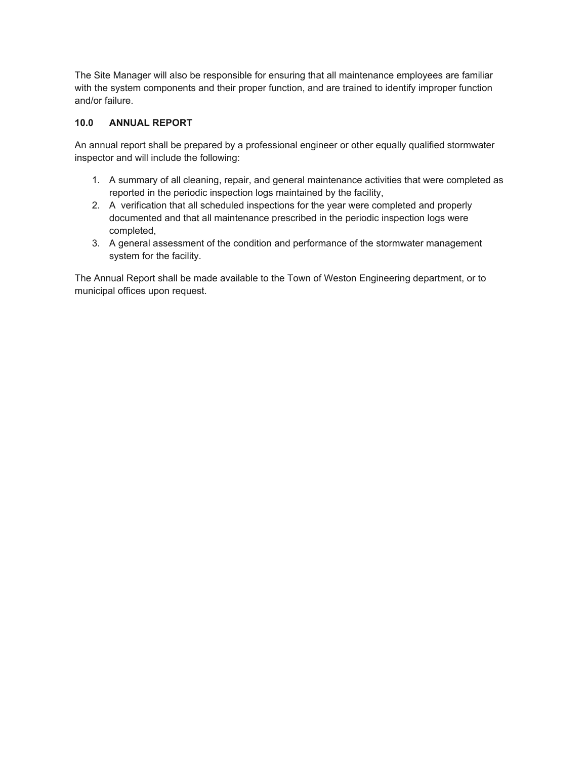The Site Manager will also be responsible for ensuring that all maintenance employees are familiar with the system components and their proper function, and are trained to identify improper function and/or failure.

## **10.0 ANNUAL REPORT**

An annual report shall be prepared by a professional engineer or other equally qualified stormwater inspector and will include the following:

- 1. A summary of all cleaning, repair, and general maintenance activities that were completed as reported in the periodic inspection logs maintained by the facility,
- 2. A verification that all scheduled inspections for the year were completed and properly documented and that all maintenance prescribed in the periodic inspection logs were completed,
- 3. A general assessment of the condition and performance of the stormwater management system for the facility.

The Annual Report shall be made available to the Town of Weston Engineering department, or to municipal offices upon request.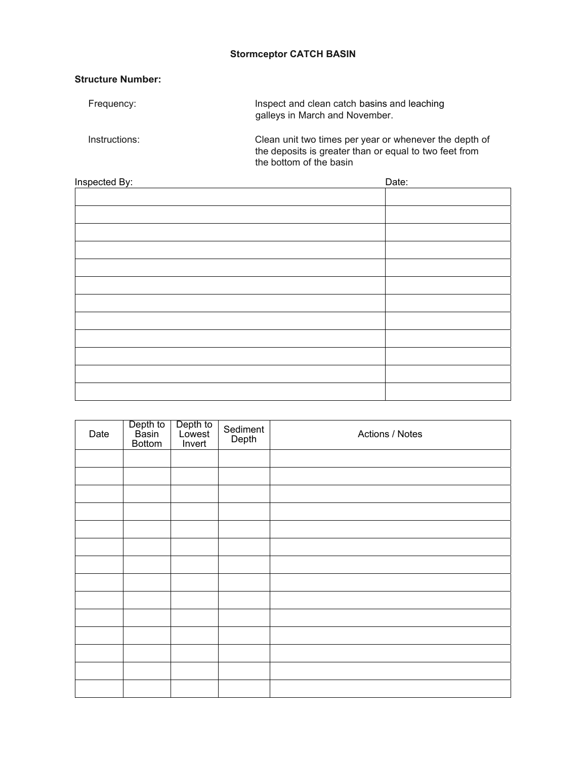## **Stormceptor CATCH BASIN**

## **Structure Number:**

| Frequency:    | Inspect and clean catch basins and leaching<br>galleys in March and November.                                                               |
|---------------|---------------------------------------------------------------------------------------------------------------------------------------------|
| Instructions: | Clean unit two times per year or whenever the depth of<br>the deposits is greater than or equal to two feet from<br>the bottom of the basin |

| <b>Inspected By:</b> | Date: |
|----------------------|-------|
|                      |       |
|                      |       |
|                      |       |
|                      |       |
|                      |       |
|                      |       |
|                      |       |
|                      |       |
|                      |       |
|                      |       |
|                      |       |
|                      |       |
|                      |       |

| Date | Depth to<br>Basin<br>Bottom | Depth to<br>Lowest<br>Invert | Sediment<br>Depth | Actions / Notes |
|------|-----------------------------|------------------------------|-------------------|-----------------|
|      |                             |                              |                   |                 |
|      |                             |                              |                   |                 |
|      |                             |                              |                   |                 |
|      |                             |                              |                   |                 |
|      |                             |                              |                   |                 |
|      |                             |                              |                   |                 |
|      |                             |                              |                   |                 |
|      |                             |                              |                   |                 |
|      |                             |                              |                   |                 |
|      |                             |                              |                   |                 |
|      |                             |                              |                   |                 |
|      |                             |                              |                   |                 |
|      |                             |                              |                   |                 |
|      |                             |                              |                   |                 |